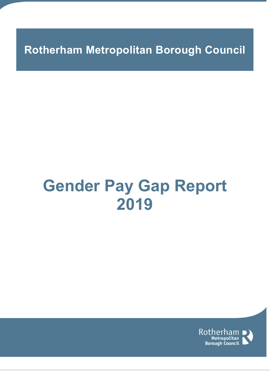**Rotherham Metropolitan Borough Council**

# **Gender Pay Gap Report 2019**

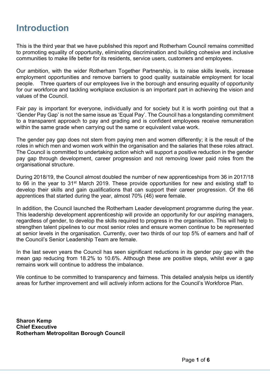## **Introduction**

This is the third year that we have published this report and Rotherham Council remains committed to promoting equality of opportunity, eliminating discrimination and building cohesive and inclusive communities to make life better for its residents, service users, customers and employees.

Our ambition, with the wider Rotherham Together Partnership, is to raise skills levels, increase employment opportunities and remove barriers to good quality sustainable employment for local people. Three quarters of our employees live in the borough and ensuring equality of opportunity for our workforce and tackling workplace exclusion is an important part in achieving the vision and values of the Council.

Fair pay is important for everyone, individually and for society but it is worth pointing out that a 'Gender Pay Gap' is not the same issue as 'Equal Pay'. The Council has a longstanding commitment to a transparent approach to pay and grading and is confident employees receive remuneration within the same grade when carrying out the same or equivalent value work.

The gender pay gap does not stem from paying men and women differently; it is the result of the roles in which men and women work within the organisation and the salaries that these roles attract. The Council is committed to undertaking action which will support a positive reduction in the gender pay gap through development, career progression and not removing lower paid roles from the organisational structure.

During 2018/19, the Council almost doubled the number of new apprenticeships from 36 in 2017/18 to 66 in the year to 31st March 2019. These provide opportunities for new and existing staff to develop their skills and gain qualifications that can support their career progression. Of the 66 apprentices that started during the year, almost 70% (46) were female.

In addition, the Council launched the Rotherham Leader development programme during the year. This leadership development apprenticeship will provide an opportunity for our aspiring managers, regardless of gender, to develop the skills required to progress in the organisation. This will help to strengthen talent pipelines to our most senior roles and ensure women continue to be represented at senior levels in the organisation. Currently, over two thirds of our top 5% of earners and half of the Council's Senior Leadership Team are female.

In the last seven years the Council has seen significant reductions in its gender pay gap with the mean gap reducing from 18.2% to 10.6%. Although these are positive steps, whilst ever a gap remains work will continue to address the imbalance.

We continue to be committed to transparency and fairness. This detailed analysis helps us identify areas for further improvement and will actively inform actions for the Council's Workforce Plan.

**Sharon Kemp Chief Executive Rotherham Metropolitan Borough Council**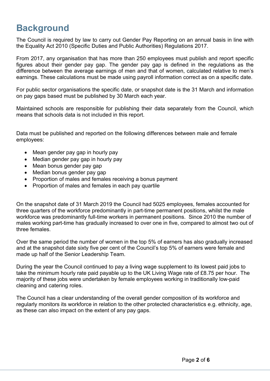## **Background**

The Council is required by law to carry out Gender Pay Reporting on an annual basis in line with the Equality Act 2010 (Specific Duties and Public Authorities) Regulations 2017.

From 2017, any organisation that has more than 250 employees must publish and report specific figures about their gender pay gap. The gender pay gap is defined in the regulations as the difference between the average earnings of men and that of women, calculated relative to men's earnings. These calculations must be made using payroll information correct as on a specific date.

For public sector organisations the specific date, or snapshot date is the 31 March and information on pay gaps based must be published by 30 March each year.

Maintained schools are responsible for publishing their data separately from the Council, which means that schools data is not included in this report.

Data must be published and reported on the following differences between male and female employees:

- Mean gender pay gap in hourly pay
- Median gender pay gap in hourly pay
- Mean bonus gender pay gap
- Median bonus gender pay gap
- Proportion of males and females receiving a bonus payment
- Proportion of males and females in each pay quartile

On the snapshot date of 31 March 2019 the Council had 5025 employees, females accounted for three quarters of the workforce predominantly in part-time permanent positions, whilst the male workforce was predominantly full-time workers in permanent positions. Since 2010 the number of males working part-time has gradually increased to over one in five, compared to almost two out of three females.

Over the same period the number of women in the top 5% of earners has also gradually increased and at the snapshot date sixty five per cent of the Council's top 5% of earners were female and made up half of the Senior Leadership Team.

During the year the Council continued to pay a living wage supplement to its lowest paid jobs to take the minimum hourly rate paid payable up to the UK Living Wage rate of £8.75 per hour. The majority of these jobs were undertaken by female employees working in traditionally low-paid cleaning and catering roles.

The Council has a clear understanding of the overall gender composition of its workforce and regularly monitors its workforce in relation to the other protected characteristics e.g. ethnicity, age, as these can also impact on the extent of any pay gaps.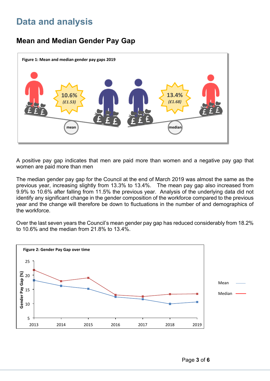# **Data and analysis**

## **Mean and Median Gender Pay Gap**



A positive pay gap indicates that men are paid more than women and a negative pay gap that women are paid more than men

The median gender pay gap for the Council at the end of March 2019 was almost the same as the previous year, increasing slightly from 13.3% to 13.4%. The mean pay gap also increased from 9.9% to 10.6% after falling from 11.5% the previous year. Analysis of the underlying data did not identify any significant change in the gender composition of the workforce compared to the previous year and the change will therefore be down to fluctuations in the number of and demographics of the workforce.

Over the last seven years the Council's mean gender pay gap has reduced considerably from 18.2% to 10.6% and the median from 21.8% to 13.4%.

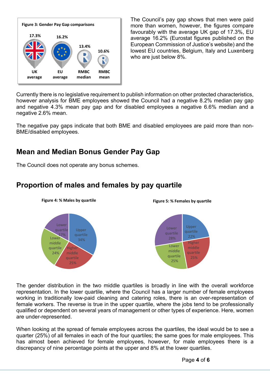

The Council's pay gap shows that men were paid more than women, however, the figures compare favourably with the average UK gap of 17.3%, EU average 16.2% (Eurostat figures published on the European Commission of Justice's website) and the lowest EU countries, Belgium, Italy and Luxenberg who are just below 8%.

Currently there is no legislative requirement to publish information on other protected characteristics, however analysis for BME employees showed the Council had a negative 8.2% median pay gap and negative 4.3% mean pay gap and for disabled employees a negative 6.6% median and a negative 2.6% mean.

The negative pay gaps indicate that both BME and disabled employees are paid more than non-BME/disabled employees.

### **Mean and Median Bonus Gender Pay Gap**

The Council does not operate any bonus schemes.



#### **Proportion of males and females by pay quartile**

The gender distribution in the two middle quartiles is broadly in line with the overall workforce representation. In the lower quartile, where the Council has a larger number of female employees working in traditionally low-paid cleaning and catering roles, there is an over-representation of female workers. The reverse is true in the upper quartile, where the jobs tend to be professionally qualified or dependent on several years of management or other types of experience. Here, women are under-represented.

When looking at the spread of female employees across the quartiles, the ideal would be to see a quarter (25%) of all females in each of the four quartiles; the same goes for male employees. This has almost been achieved for female employees, however, for male employees there is a discrepancy of nine percentage points at the upper and 8% at the lower quartiles.